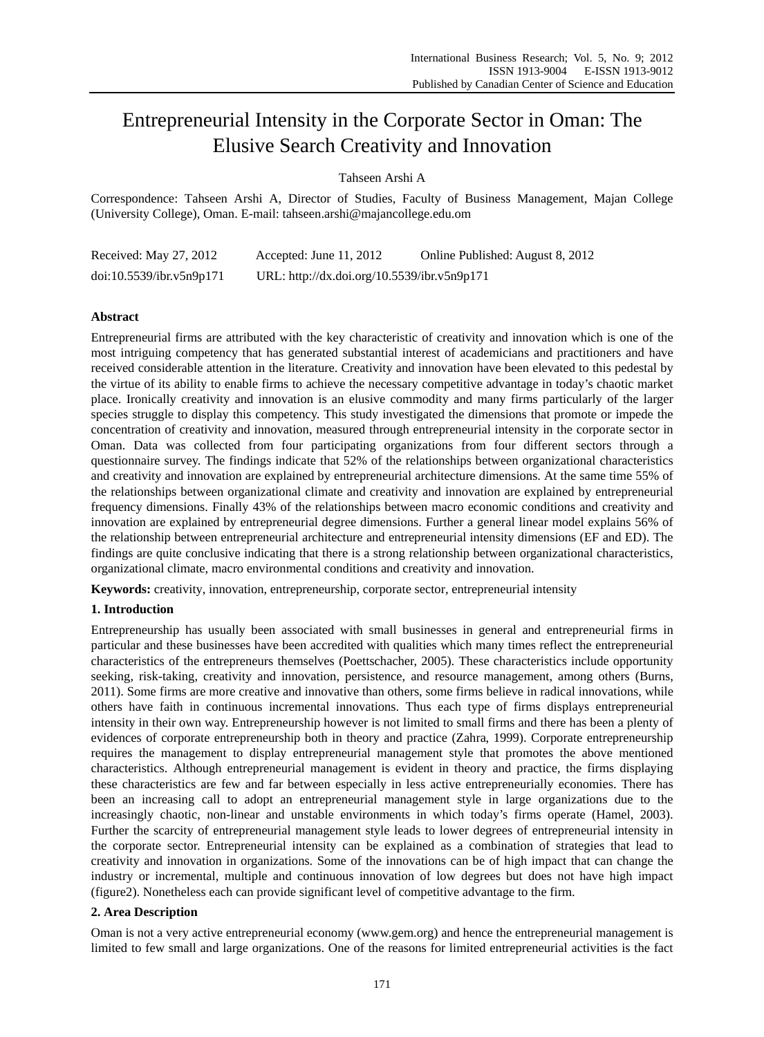# Entrepreneurial Intensity in the Corporate Sector in Oman: The Elusive Search Creativity and Innovation

Tahseen Arshi A

Correspondence: Tahseen Arshi A, Director of Studies, Faculty of Business Management, Majan College (University College), Oman. E-mail: tahseen.arshi@majancollege.edu.om

| Received: May 27, 2012   | Accepted: June $11, 2012$                   | Online Published: August 8, 2012 |
|--------------------------|---------------------------------------------|----------------------------------|
| doi:10.5539/ibr.v5n9p171 | URL: http://dx.doi.org/10.5539/ibr.v5n9p171 |                                  |

# **Abstract**

Entrepreneurial firms are attributed with the key characteristic of creativity and innovation which is one of the most intriguing competency that has generated substantial interest of academicians and practitioners and have received considerable attention in the literature. Creativity and innovation have been elevated to this pedestal by the virtue of its ability to enable firms to achieve the necessary competitive advantage in today's chaotic market place. Ironically creativity and innovation is an elusive commodity and many firms particularly of the larger species struggle to display this competency. This study investigated the dimensions that promote or impede the concentration of creativity and innovation, measured through entrepreneurial intensity in the corporate sector in Oman. Data was collected from four participating organizations from four different sectors through a questionnaire survey. The findings indicate that 52% of the relationships between organizational characteristics and creativity and innovation are explained by entrepreneurial architecture dimensions. At the same time 55% of the relationships between organizational climate and creativity and innovation are explained by entrepreneurial frequency dimensions. Finally 43% of the relationships between macro economic conditions and creativity and innovation are explained by entrepreneurial degree dimensions. Further a general linear model explains 56% of the relationship between entrepreneurial architecture and entrepreneurial intensity dimensions (EF and ED). The findings are quite conclusive indicating that there is a strong relationship between organizational characteristics, organizational climate, macro environmental conditions and creativity and innovation.

**Keywords:** creativity, innovation, entrepreneurship, corporate sector, entrepreneurial intensity

# **1. Introduction**

Entrepreneurship has usually been associated with small businesses in general and entrepreneurial firms in particular and these businesses have been accredited with qualities which many times reflect the entrepreneurial characteristics of the entrepreneurs themselves (Poettschacher, 2005). These characteristics include opportunity seeking, risk-taking, creativity and innovation, persistence, and resource management, among others (Burns, 2011). Some firms are more creative and innovative than others, some firms believe in radical innovations, while others have faith in continuous incremental innovations. Thus each type of firms displays entrepreneurial intensity in their own way. Entrepreneurship however is not limited to small firms and there has been a plenty of evidences of corporate entrepreneurship both in theory and practice (Zahra, 1999). Corporate entrepreneurship requires the management to display entrepreneurial management style that promotes the above mentioned characteristics. Although entrepreneurial management is evident in theory and practice, the firms displaying these characteristics are few and far between especially in less active entrepreneurially economies. There has been an increasing call to adopt an entrepreneurial management style in large organizations due to the increasingly chaotic, non-linear and unstable environments in which today's firms operate (Hamel, 2003). Further the scarcity of entrepreneurial management style leads to lower degrees of entrepreneurial intensity in the corporate sector. Entrepreneurial intensity can be explained as a combination of strategies that lead to creativity and innovation in organizations. Some of the innovations can be of high impact that can change the industry or incremental, multiple and continuous innovation of low degrees but does not have high impact (figure2). Nonetheless each can provide significant level of competitive advantage to the firm.

# **2. Area Description**

Oman is not a very active entrepreneurial economy (www.gem.org) and hence the entrepreneurial management is limited to few small and large organizations. One of the reasons for limited entrepreneurial activities is the fact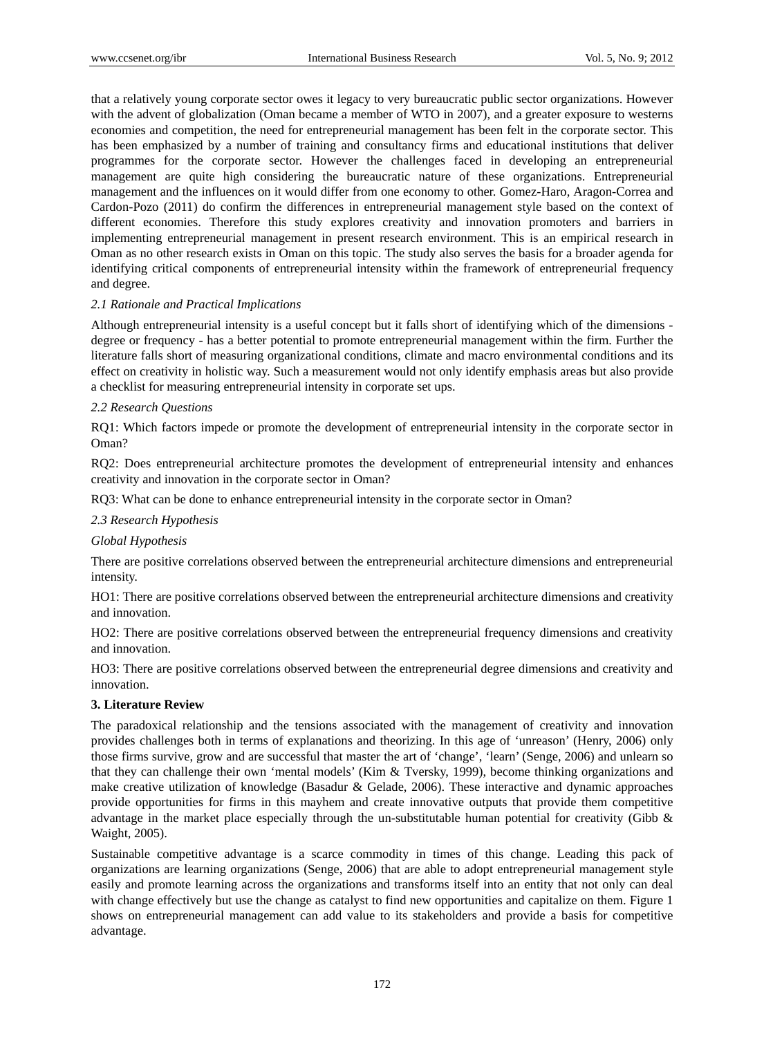that a relatively young corporate sector owes it legacy to very bureaucratic public sector organizations. However with the advent of globalization (Oman became a member of WTO in 2007), and a greater exposure to westerns economies and competition, the need for entrepreneurial management has been felt in the corporate sector. This has been emphasized by a number of training and consultancy firms and educational institutions that deliver programmes for the corporate sector. However the challenges faced in developing an entrepreneurial management are quite high considering the bureaucratic nature of these organizations. Entrepreneurial management and the influences on it would differ from one economy to other. Gomez-Haro, Aragon-Correa and Cardon-Pozo (2011) do confirm the differences in entrepreneurial management style based on the context of different economies. Therefore this study explores creativity and innovation promoters and barriers in implementing entrepreneurial management in present research environment. This is an empirical research in Oman as no other research exists in Oman on this topic. The study also serves the basis for a broader agenda for identifying critical components of entrepreneurial intensity within the framework of entrepreneurial frequency and degree.

# *2.1 Rationale and Practical Implications*

Although entrepreneurial intensity is a useful concept but it falls short of identifying which of the dimensions degree or frequency - has a better potential to promote entrepreneurial management within the firm. Further the literature falls short of measuring organizational conditions, climate and macro environmental conditions and its effect on creativity in holistic way. Such a measurement would not only identify emphasis areas but also provide a checklist for measuring entrepreneurial intensity in corporate set ups.

# *2.2 Research Questions*

RQ1: Which factors impede or promote the development of entrepreneurial intensity in the corporate sector in Oman?

RQ2: Does entrepreneurial architecture promotes the development of entrepreneurial intensity and enhances creativity and innovation in the corporate sector in Oman?

RQ3: What can be done to enhance entrepreneurial intensity in the corporate sector in Oman?

# *2.3 Research Hypothesis*

## *Global Hypothesis*

There are positive correlations observed between the entrepreneurial architecture dimensions and entrepreneurial intensity.

HO1: There are positive correlations observed between the entrepreneurial architecture dimensions and creativity and innovation.

HO2: There are positive correlations observed between the entrepreneurial frequency dimensions and creativity and innovation.

HO3: There are positive correlations observed between the entrepreneurial degree dimensions and creativity and innovation.

## **3. Literature Review**

The paradoxical relationship and the tensions associated with the management of creativity and innovation provides challenges both in terms of explanations and theorizing. In this age of 'unreason' (Henry, 2006) only those firms survive, grow and are successful that master the art of 'change', 'learn' (Senge, 2006) and unlearn so that they can challenge their own 'mental models' (Kim & Tversky, 1999), become thinking organizations and make creative utilization of knowledge (Basadur & Gelade, 2006). These interactive and dynamic approaches provide opportunities for firms in this mayhem and create innovative outputs that provide them competitive advantage in the market place especially through the un-substitutable human potential for creativity (Gibb & Waight, 2005).

Sustainable competitive advantage is a scarce commodity in times of this change. Leading this pack of organizations are learning organizations (Senge, 2006) that are able to adopt entrepreneurial management style easily and promote learning across the organizations and transforms itself into an entity that not only can deal with change effectively but use the change as catalyst to find new opportunities and capitalize on them. Figure 1 shows on entrepreneurial management can add value to its stakeholders and provide a basis for competitive advantage.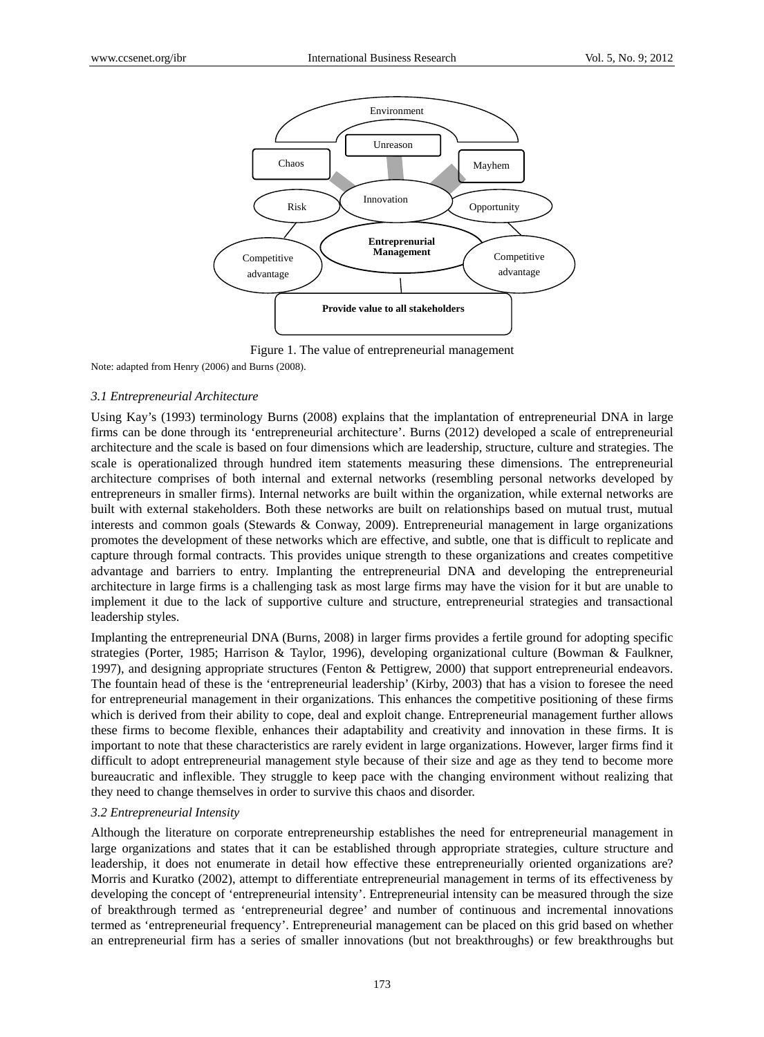

Figure 1. The value of entrepreneurial management

Note: adapted from Henry (2006) and Burns (2008).

## *3.1 Entrepreneurial Architecture*

Using Kay's (1993) terminology Burns (2008) explains that the implantation of entrepreneurial DNA in large firms can be done through its 'entrepreneurial architecture'. Burns (2012) developed a scale of entrepreneurial architecture and the scale is based on four dimensions which are leadership, structure, culture and strategies. The scale is operationalized through hundred item statements measuring these dimensions. The entrepreneurial architecture comprises of both internal and external networks (resembling personal networks developed by entrepreneurs in smaller firms). Internal networks are built within the organization, while external networks are built with external stakeholders. Both these networks are built on relationships based on mutual trust, mutual interests and common goals (Stewards & Conway, 2009). Entrepreneurial management in large organizations promotes the development of these networks which are effective, and subtle, one that is difficult to replicate and capture through formal contracts. This provides unique strength to these organizations and creates competitive advantage and barriers to entry. Implanting the entrepreneurial DNA and developing the entrepreneurial architecture in large firms is a challenging task as most large firms may have the vision for it but are unable to implement it due to the lack of supportive culture and structure, entrepreneurial strategies and transactional leadership styles.

Implanting the entrepreneurial DNA (Burns, 2008) in larger firms provides a fertile ground for adopting specific strategies (Porter, 1985; Harrison & Taylor, 1996), developing organizational culture (Bowman & Faulkner, 1997), and designing appropriate structures (Fenton & Pettigrew, 2000) that support entrepreneurial endeavors. The fountain head of these is the 'entrepreneurial leadership' (Kirby, 2003) that has a vision to foresee the need for entrepreneurial management in their organizations. This enhances the competitive positioning of these firms which is derived from their ability to cope, deal and exploit change. Entrepreneurial management further allows these firms to become flexible, enhances their adaptability and creativity and innovation in these firms. It is important to note that these characteristics are rarely evident in large organizations. However, larger firms find it difficult to adopt entrepreneurial management style because of their size and age as they tend to become more bureaucratic and inflexible. They struggle to keep pace with the changing environment without realizing that they need to change themselves in order to survive this chaos and disorder.

# *3.2 Entrepreneurial Intensity*

Although the literature on corporate entrepreneurship establishes the need for entrepreneurial management in large organizations and states that it can be established through appropriate strategies, culture structure and leadership, it does not enumerate in detail how effective these entrepreneurially oriented organizations are? Morris and Kuratko (2002), attempt to differentiate entrepreneurial management in terms of its effectiveness by developing the concept of 'entrepreneurial intensity'. Entrepreneurial intensity can be measured through the size of breakthrough termed as 'entrepreneurial degree' and number of continuous and incremental innovations termed as 'entrepreneurial frequency'. Entrepreneurial management can be placed on this grid based on whether an entrepreneurial firm has a series of smaller innovations (but not breakthroughs) or few breakthroughs but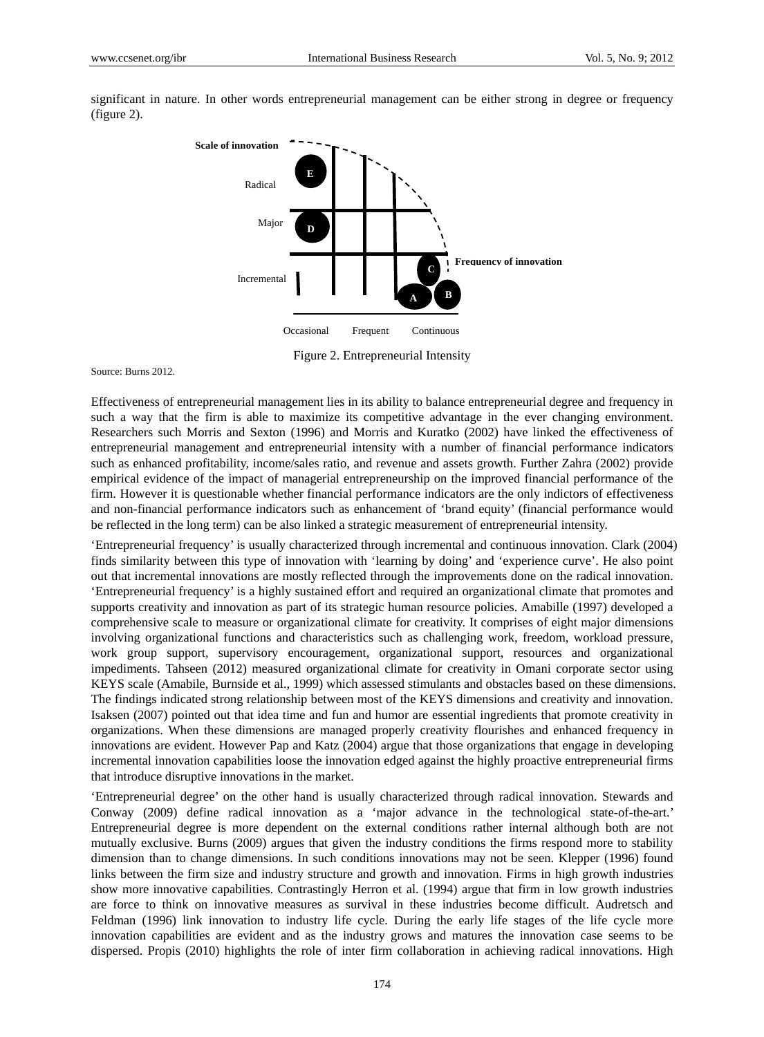

significant in nature. In other words entrepreneurial management can be either strong in degree or frequency (figure 2).

Figure 2. Entrepreneurial Intensity

Source: Burns 2012.

Effectiveness of entrepreneurial management lies in its ability to balance entrepreneurial degree and frequency in such a way that the firm is able to maximize its competitive advantage in the ever changing environment. Researchers such Morris and Sexton (1996) and Morris and Kuratko (2002) have linked the effectiveness of entrepreneurial management and entrepreneurial intensity with a number of financial performance indicators such as enhanced profitability, income/sales ratio, and revenue and assets growth. Further Zahra (2002) provide empirical evidence of the impact of managerial entrepreneurship on the improved financial performance of the firm. However it is questionable whether financial performance indicators are the only indictors of effectiveness and non-financial performance indicators such as enhancement of 'brand equity' (financial performance would be reflected in the long term) can be also linked a strategic measurement of entrepreneurial intensity.

'Entrepreneurial frequency' is usually characterized through incremental and continuous innovation. Clark (2004) finds similarity between this type of innovation with 'learning by doing' and 'experience curve'. He also point out that incremental innovations are mostly reflected through the improvements done on the radical innovation. 'Entrepreneurial frequency' is a highly sustained effort and required an organizational climate that promotes and supports creativity and innovation as part of its strategic human resource policies. Amabille (1997) developed a comprehensive scale to measure or organizational climate for creativity. It comprises of eight major dimensions involving organizational functions and characteristics such as challenging work, freedom, workload pressure, work group support, supervisory encouragement, organizational support, resources and organizational impediments. Tahseen (2012) measured organizational climate for creativity in Omani corporate sector using KEYS scale (Amabile, Burnside et al., 1999) which assessed stimulants and obstacles based on these dimensions. The findings indicated strong relationship between most of the KEYS dimensions and creativity and innovation. Isaksen (2007) pointed out that idea time and fun and humor are essential ingredients that promote creativity in organizations. When these dimensions are managed properly creativity flourishes and enhanced frequency in innovations are evident. However Pap and Katz (2004) argue that those organizations that engage in developing incremental innovation capabilities loose the innovation edged against the highly proactive entrepreneurial firms that introduce disruptive innovations in the market.

'Entrepreneurial degree' on the other hand is usually characterized through radical innovation. Stewards and Conway (2009) define radical innovation as a 'major advance in the technological state-of-the-art.' Entrepreneurial degree is more dependent on the external conditions rather internal although both are not mutually exclusive. Burns (2009) argues that given the industry conditions the firms respond more to stability dimension than to change dimensions. In such conditions innovations may not be seen. Klepper (1996) found links between the firm size and industry structure and growth and innovation. Firms in high growth industries show more innovative capabilities. Contrastingly Herron et al. (1994) argue that firm in low growth industries are force to think on innovative measures as survival in these industries become difficult. Audretsch and Feldman (1996) link innovation to industry life cycle. During the early life stages of the life cycle more innovation capabilities are evident and as the industry grows and matures the innovation case seems to be dispersed. Propis (2010) highlights the role of inter firm collaboration in achieving radical innovations. High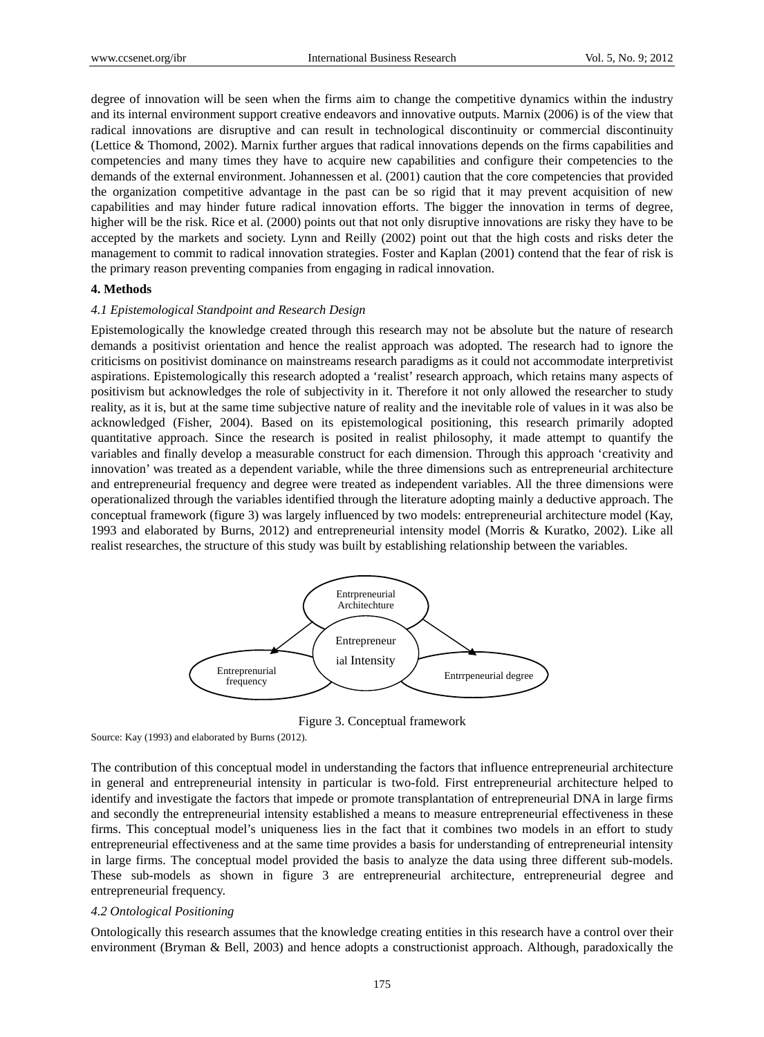degree of innovation will be seen when the firms aim to change the competitive dynamics within the industry and its internal environment support creative endeavors and innovative outputs. Marnix (2006) is of the view that radical innovations are disruptive and can result in technological discontinuity or commercial discontinuity (Lettice & Thomond, 2002). Marnix further argues that radical innovations depends on the firms capabilities and competencies and many times they have to acquire new capabilities and configure their competencies to the demands of the external environment. Johannessen et al. (2001) caution that the core competencies that provided the organization competitive advantage in the past can be so rigid that it may prevent acquisition of new capabilities and may hinder future radical innovation efforts. The bigger the innovation in terms of degree, higher will be the risk. Rice et al. (2000) points out that not only disruptive innovations are risky they have to be accepted by the markets and society. Lynn and Reilly (2002) point out that the high costs and risks deter the management to commit to radical innovation strategies. Foster and Kaplan (2001) contend that the fear of risk is the primary reason preventing companies from engaging in radical innovation.

## **4. Methods**

#### *4.1 Epistemological Standpoint and Research Design*

Epistemologically the knowledge created through this research may not be absolute but the nature of research demands a positivist orientation and hence the realist approach was adopted. The research had to ignore the criticisms on positivist dominance on mainstreams research paradigms as it could not accommodate interpretivist aspirations. Epistemologically this research adopted a 'realist' research approach, which retains many aspects of positivism but acknowledges the role of subjectivity in it. Therefore it not only allowed the researcher to study reality, as it is, but at the same time subjective nature of reality and the inevitable role of values in it was also be acknowledged (Fisher, 2004). Based on its epistemological positioning, this research primarily adopted quantitative approach. Since the research is posited in realist philosophy, it made attempt to quantify the variables and finally develop a measurable construct for each dimension. Through this approach 'creativity and innovation' was treated as a dependent variable, while the three dimensions such as entrepreneurial architecture and entrepreneurial frequency and degree were treated as independent variables. All the three dimensions were operationalized through the variables identified through the literature adopting mainly a deductive approach. The conceptual framework (figure 3) was largely influenced by two models: entrepreneurial architecture model (Kay, 1993 and elaborated by Burns, 2012) and entrepreneurial intensity model (Morris & Kuratko, 2002). Like all realist researches, the structure of this study was built by establishing relationship between the variables.



Figure 3. Conceptual framework

Source: Kay (1993) and elaborated by Burns (2012).

The contribution of this conceptual model in understanding the factors that influence entrepreneurial architecture in general and entrepreneurial intensity in particular is two-fold. First entrepreneurial architecture helped to identify and investigate the factors that impede or promote transplantation of entrepreneurial DNA in large firms and secondly the entrepreneurial intensity established a means to measure entrepreneurial effectiveness in these firms. This conceptual model's uniqueness lies in the fact that it combines two models in an effort to study entrepreneurial effectiveness and at the same time provides a basis for understanding of entrepreneurial intensity in large firms. The conceptual model provided the basis to analyze the data using three different sub-models. These sub-models as shown in figure 3 are entrepreneurial architecture, entrepreneurial degree and entrepreneurial frequency.

#### *4.2 Ontological Positioning*

Ontologically this research assumes that the knowledge creating entities in this research have a control over their environment (Bryman & Bell, 2003) and hence adopts a constructionist approach. Although, paradoxically the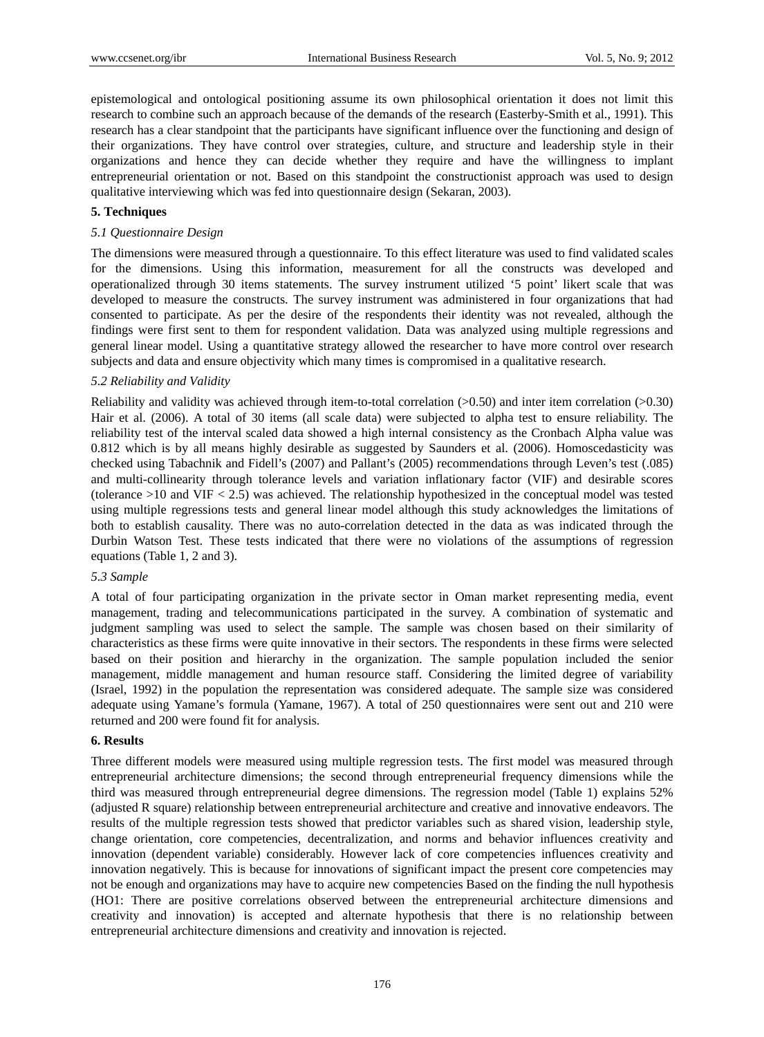epistemological and ontological positioning assume its own philosophical orientation it does not limit this research to combine such an approach because of the demands of the research (Easterby-Smith et al., 1991). This research has a clear standpoint that the participants have significant influence over the functioning and design of their organizations. They have control over strategies, culture, and structure and leadership style in their organizations and hence they can decide whether they require and have the willingness to implant entrepreneurial orientation or not. Based on this standpoint the constructionist approach was used to design qualitative interviewing which was fed into questionnaire design (Sekaran, 2003).

# **5. Techniques**

# *5.1 Questionnaire Design*

The dimensions were measured through a questionnaire. To this effect literature was used to find validated scales for the dimensions. Using this information, measurement for all the constructs was developed and operationalized through 30 items statements. The survey instrument utilized '5 point' likert scale that was developed to measure the constructs. The survey instrument was administered in four organizations that had consented to participate. As per the desire of the respondents their identity was not revealed, although the findings were first sent to them for respondent validation. Data was analyzed using multiple regressions and general linear model. Using a quantitative strategy allowed the researcher to have more control over research subjects and data and ensure objectivity which many times is compromised in a qualitative research.

## *5.2 Reliability and Validity*

Reliability and validity was achieved through item-to-total correlation (>0.50) and inter item correlation (>0.30) Hair et al. (2006). A total of 30 items (all scale data) were subjected to alpha test to ensure reliability. The reliability test of the interval scaled data showed a high internal consistency as the Cronbach Alpha value was 0.812 which is by all means highly desirable as suggested by Saunders et al. (2006). Homoscedasticity was checked using Tabachnik and Fidell's (2007) and Pallant's (2005) recommendations through Leven's test (.085) and multi-collinearity through tolerance levels and variation inflationary factor (VIF) and desirable scores (tolerance >10 and VIF < 2.5) was achieved. The relationship hypothesized in the conceptual model was tested using multiple regressions tests and general linear model although this study acknowledges the limitations of both to establish causality. There was no auto-correlation detected in the data as was indicated through the Durbin Watson Test. These tests indicated that there were no violations of the assumptions of regression equations (Table 1, 2 and 3).

### *5.3 Sample*

A total of four participating organization in the private sector in Oman market representing media, event management, trading and telecommunications participated in the survey. A combination of systematic and judgment sampling was used to select the sample. The sample was chosen based on their similarity of characteristics as these firms were quite innovative in their sectors. The respondents in these firms were selected based on their position and hierarchy in the organization. The sample population included the senior management, middle management and human resource staff. Considering the limited degree of variability (Israel, 1992) in the population the representation was considered adequate. The sample size was considered adequate using Yamane's formula (Yamane, 1967). A total of 250 questionnaires were sent out and 210 were returned and 200 were found fit for analysis.

# **6. Results**

Three different models were measured using multiple regression tests. The first model was measured through entrepreneurial architecture dimensions; the second through entrepreneurial frequency dimensions while the third was measured through entrepreneurial degree dimensions. The regression model (Table 1) explains 52% (adjusted R square) relationship between entrepreneurial architecture and creative and innovative endeavors. The results of the multiple regression tests showed that predictor variables such as shared vision, leadership style, change orientation, core competencies, decentralization, and norms and behavior influences creativity and innovation (dependent variable) considerably. However lack of core competencies influences creativity and innovation negatively. This is because for innovations of significant impact the present core competencies may not be enough and organizations may have to acquire new competencies Based on the finding the null hypothesis (HO1: There are positive correlations observed between the entrepreneurial architecture dimensions and creativity and innovation) is accepted and alternate hypothesis that there is no relationship between entrepreneurial architecture dimensions and creativity and innovation is rejected.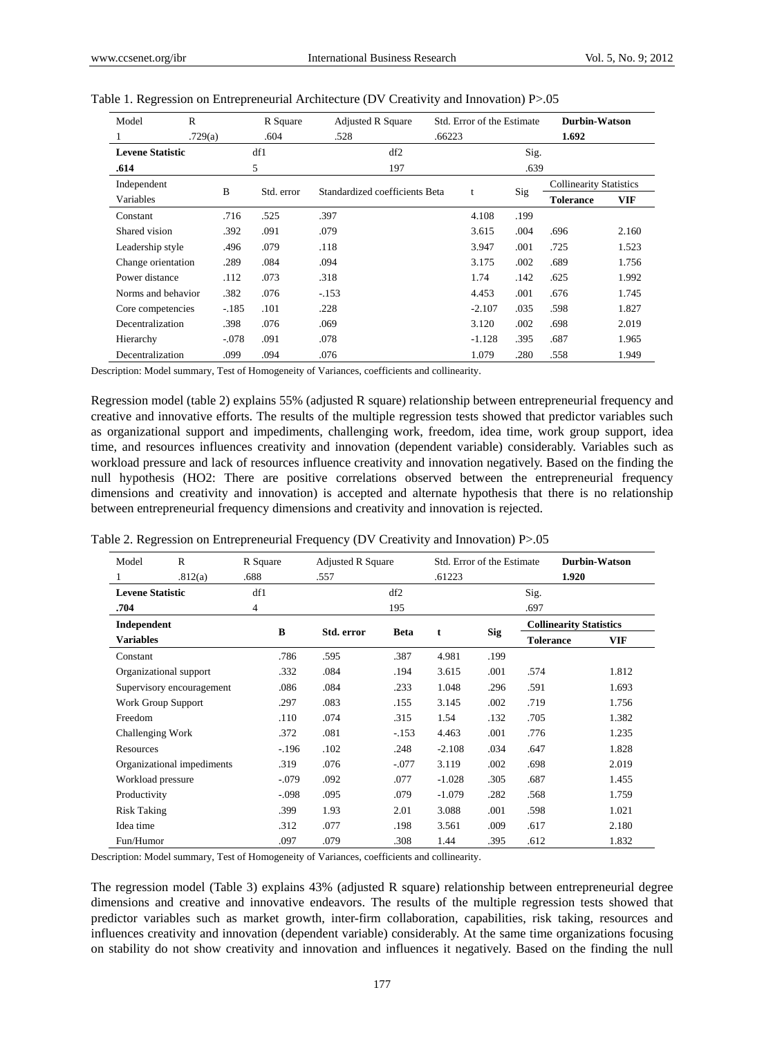| R<br>Model              |         |         | R Square   | <b>Adjusted R Square</b>       | Std. Error of the Estimate |      | <b>Durbin-Watson</b>           |            |
|-------------------------|---------|---------|------------|--------------------------------|----------------------------|------|--------------------------------|------------|
|                         | .729(a) |         | .604       | .528                           | .66223                     |      | 1.692                          |            |
| <b>Levene Statistic</b> |         |         | df1        | df2                            |                            | Sig. |                                |            |
| .614                    |         |         | 5          | 197                            |                            | .639 |                                |            |
| Independent             |         | B       |            | Standardized coefficients Beta |                            |      | <b>Collinearity Statistics</b> |            |
| Variables               |         |         | Std. error |                                | t                          | Sig  | <b>Tolerance</b>               | <b>VIF</b> |
| Constant                |         | .716    | .525       | .397                           | 4.108                      | .199 |                                |            |
| Shared vision           |         | .392    | .091       | .079                           | 3.615                      | .004 | .696                           | 2.160      |
| Leadership style        |         | .496    | .079       | .118                           | 3.947                      | .001 | .725                           | 1.523      |
| Change orientation      |         | .289    | .084       | .094                           | 3.175                      | .002 | .689                           | 1.756      |
| Power distance          |         | .112    | .073       | .318                           | 1.74                       | .142 | .625                           | 1.992      |
| Norms and behavior      |         | .382    | .076       | $-153$                         | 4.453                      | .001 | .676                           | 1.745      |
| Core competencies       |         | $-185$  | .101       | .228                           | $-2.107$                   | .035 | .598                           | 1.827      |
| Decentralization        |         | .398    | .076       | .069                           | 3.120                      | .002 | .698                           | 2.019      |
| Hierarchy               |         | $-.078$ | .091       | .078                           | $-1.128$                   | .395 | .687                           | 1.965      |
| Decentralization        |         | .099    | .094       | .076                           | 1.079                      | .280 | .558                           | 1.949      |

|  |  |  | Table 1. Regression on Entrepreneurial Architecture (DV Creativity and Innovation) P>.05 |  |
|--|--|--|------------------------------------------------------------------------------------------|--|
|  |  |  |                                                                                          |  |

Description: Model summary, Test of Homogeneity of Variances, coefficients and collinearity.

Regression model (table 2) explains 55% (adjusted R square) relationship between entrepreneurial frequency and creative and innovative efforts. The results of the multiple regression tests showed that predictor variables such as organizational support and impediments, challenging work, freedom, idea time, work group support, idea time, and resources influences creativity and innovation (dependent variable) considerably. Variables such as workload pressure and lack of resources influence creativity and innovation negatively. Based on the finding the null hypothesis (HO2: There are positive correlations observed between the entrepreneurial frequency dimensions and creativity and innovation) is accepted and alternate hypothesis that there is no relationship between entrepreneurial frequency dimensions and creativity and innovation is rejected.

| Table 2. Regression on Entrepreneurial Frequency (DV Creativity and Innovation) P>.05 |  |  |  |  |  |
|---------------------------------------------------------------------------------------|--|--|--|--|--|
|                                                                                       |  |  |  |  |  |

| Model                   | $\mathbb{R}$               | R Square | <b>Adjusted R Square</b> |             | Std. Error of the Estimate |            |                  | <b>Durbin-Watson</b>           |
|-------------------------|----------------------------|----------|--------------------------|-------------|----------------------------|------------|------------------|--------------------------------|
| 1                       | .812(a)                    | .688     | .557                     |             | .61223                     |            |                  | 1.920                          |
| <b>Levene Statistic</b> |                            | df1      |                          | df2         |                            |            | Sig.             |                                |
| .704                    |                            | 4        |                          | 195         |                            |            | .697             |                                |
| Independent             |                            |          |                          |             |                            | <b>Sig</b> |                  | <b>Collinearity Statistics</b> |
| <b>Variables</b>        |                            | B        | Std. error               | <b>Beta</b> | t                          |            | <b>Tolerance</b> | VIF                            |
| Constant                |                            | .786     | .595                     | .387        | 4.981                      | .199       |                  |                                |
|                         | Organizational support     | .332     | .084                     | .194        | 3.615                      | .001       | .574             | 1.812                          |
|                         | Supervisory encouragement  | .086     | .084                     | .233        | 1.048                      | .296       | .591             | 1.693                          |
|                         | Work Group Support         | .297     | .083                     | .155        | 3.145                      | .002       | .719             | 1.756                          |
| Freedom                 |                            | .110     | .074                     | .315        | 1.54                       | .132       | .705             | 1.382                          |
| Challenging Work        |                            | .372     | .081                     | $-.153$     | 4.463                      | .001       | .776             | 1.235                          |
| Resources               |                            | $-196$   | .102                     | .248        | $-2.108$                   | .034       | .647             | 1.828                          |
|                         | Organizational impediments | .319     | .076                     | $-.077$     | 3.119                      | .002       | .698             | 2.019                          |
| Workload pressure       |                            | $-.079$  | .092                     | .077        | $-1.028$                   | .305       | .687             | 1.455                          |
| Productivity            |                            | $-.098$  | .095                     | .079        | $-1.079$                   | .282       | .568             | 1.759                          |
| <b>Risk Taking</b>      |                            | .399     | 1.93                     | 2.01        | 3.088                      | .001       | .598             | 1.021                          |
| Idea time               |                            | .312     | .077                     | .198        | 3.561                      | .009       | .617             | 2.180                          |
| Fun/Humor               |                            | .097     | .079                     | .308        | 1.44                       | .395       | .612             | 1.832                          |

Description: Model summary, Test of Homogeneity of Variances, coefficients and collinearity.

The regression model (Table 3) explains 43% (adjusted R square) relationship between entrepreneurial degree dimensions and creative and innovative endeavors. The results of the multiple regression tests showed that predictor variables such as market growth, inter-firm collaboration, capabilities, risk taking, resources and influences creativity and innovation (dependent variable) considerably. At the same time organizations focusing on stability do not show creativity and innovation and influences it negatively. Based on the finding the null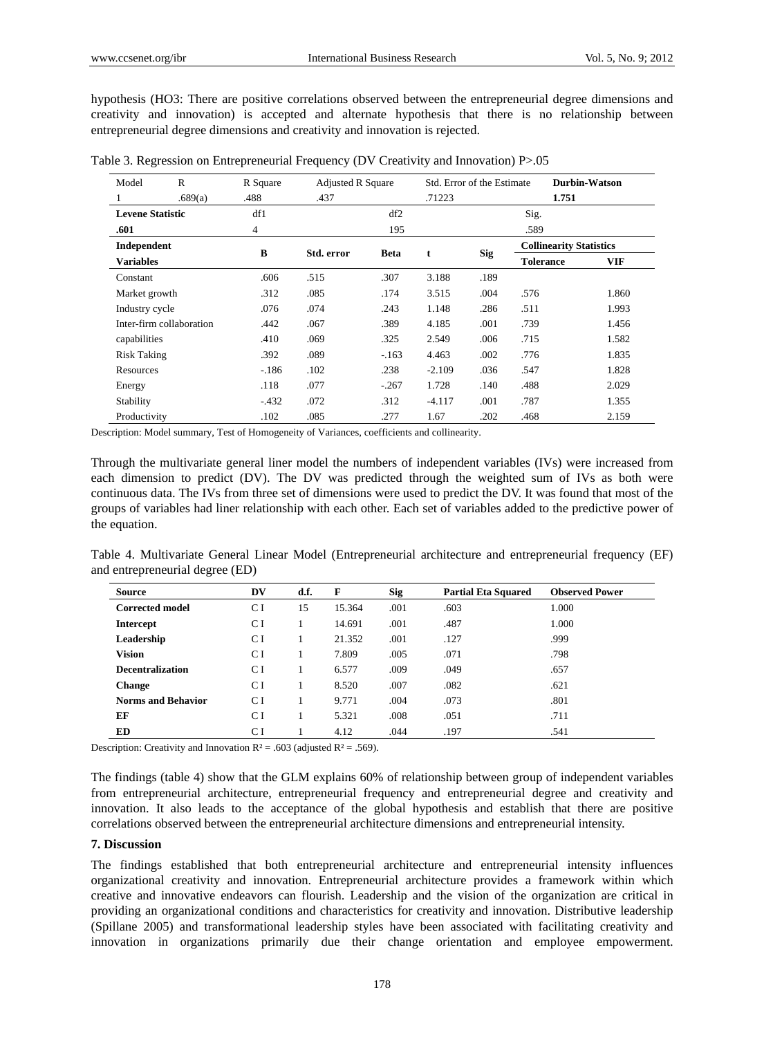hypothesis (HO3: There are positive correlations observed between the entrepreneurial degree dimensions and creativity and innovation) is accepted and alternate hypothesis that there is no relationship between entrepreneurial degree dimensions and creativity and innovation is rejected.

| Model                   | R                        | R Square       | <b>Adjusted R Square</b> |             |          | Std. Error of the Estimate |                                | <b>Durbin-Watson</b> |  |
|-------------------------|--------------------------|----------------|--------------------------|-------------|----------|----------------------------|--------------------------------|----------------------|--|
|                         | .689(a)                  | .488           | .437                     | .71223      |          |                            | 1.751                          |                      |  |
| <b>Levene Statistic</b> |                          | df1            |                          | df2         |          |                            | Sig.                           |                      |  |
| .601                    |                          | $\overline{4}$ |                          | 195         |          |                            | .589                           |                      |  |
| Independent             |                          |                |                          |             |          |                            | <b>Collinearity Statistics</b> |                      |  |
| <b>Variables</b>        |                          | B              | Std. error               | <b>Beta</b> | t        | <b>Sig</b>                 | <b>Tolerance</b>               | <b>VIF</b>           |  |
| Constant                |                          | .606           | .515                     | .307        | 3.188    | .189                       |                                |                      |  |
| Market growth           |                          | .312           | .085                     | .174        | 3.515    | .004                       | .576                           | 1.860                |  |
| Industry cycle          |                          | .076           | .074                     | .243        | 1.148    | .286                       | .511                           | 1.993                |  |
|                         | Inter-firm collaboration | .442           | .067                     | .389        | 4.185    | .001                       | .739                           | 1.456                |  |
| capabilities            |                          | .410           | .069                     | .325        | 2.549    | .006                       | .715                           | 1.582                |  |
| <b>Risk Taking</b>      |                          | .392           | .089                     | $-163$      | 4.463    | .002                       | .776                           | 1.835                |  |
| Resources               |                          | $-186$         | .102                     | .238        | $-2.109$ | .036                       | .547                           | 1.828                |  |
| Energy                  |                          | .118           | .077                     | $-.267$     | 1.728    | .140                       | .488                           | 2.029                |  |
| Stability               |                          | $-.432$        | .072                     | .312        | $-4.117$ | .001                       | .787                           | 1.355                |  |
| Productivity            |                          | .102           | .085                     | .277        | 1.67     | .202                       | .468                           | 2.159                |  |

Table 3. Regression on Entrepreneurial Frequency (DV Creativity and Innovation) P>.05

Description: Model summary, Test of Homogeneity of Variances, coefficients and collinearity.

Through the multivariate general liner model the numbers of independent variables (IVs) were increased from each dimension to predict (DV). The DV was predicted through the weighted sum of IVs as both were continuous data. The IVs from three set of dimensions were used to predict the DV. It was found that most of the groups of variables had liner relationship with each other. Each set of variables added to the predictive power of the equation.

Table 4. Multivariate General Linear Model (Entrepreneurial architecture and entrepreneurial frequency (EF) and entrepreneurial degree (ED)

| Source                    | DV  | d.f. | F      | <b>Sig</b> | <b>Partial Eta Squared</b> | <b>Observed Power</b> |
|---------------------------|-----|------|--------|------------|----------------------------|-----------------------|
| <b>Corrected model</b>    | СI  | 15   | 15.364 | .001       | .603                       | 1.000                 |
| <b>Intercept</b>          | C I |      | 14.691 | .001       | .487                       | 1.000                 |
| Leadership                | C I |      | 21.352 | .001       | .127                       | .999                  |
| <b>Vision</b>             | C I |      | 7.809  | .005       | .071                       | .798                  |
| <b>Decentralization</b>   | C I |      | 6.577  | .009       | .049                       | .657                  |
| <b>Change</b>             | C I |      | 8.520  | .007       | .082                       | .621                  |
| <b>Norms and Behavior</b> | C I |      | 9.771  | .004       | .073                       | .801                  |
| ЕF                        | СI  |      | 5.321  | .008       | .051                       | .711                  |
| ED                        | C I |      | 4.12   | .044       | .197                       | .541                  |

Description: Creativity and Innovation  $R^2 = .603$  (adjusted  $R^2 = .569$ ).

The findings (table 4) show that the GLM explains 60% of relationship between group of independent variables from entrepreneurial architecture, entrepreneurial frequency and entrepreneurial degree and creativity and innovation. It also leads to the acceptance of the global hypothesis and establish that there are positive correlations observed between the entrepreneurial architecture dimensions and entrepreneurial intensity.

# **7. Discussion**

The findings established that both entrepreneurial architecture and entrepreneurial intensity influences organizational creativity and innovation. Entrepreneurial architecture provides a framework within which creative and innovative endeavors can flourish. Leadership and the vision of the organization are critical in providing an organizational conditions and characteristics for creativity and innovation. Distributive leadership (Spillane 2005) and transformational leadership styles have been associated with facilitating creativity and innovation in organizations primarily due their change orientation and employee empowerment.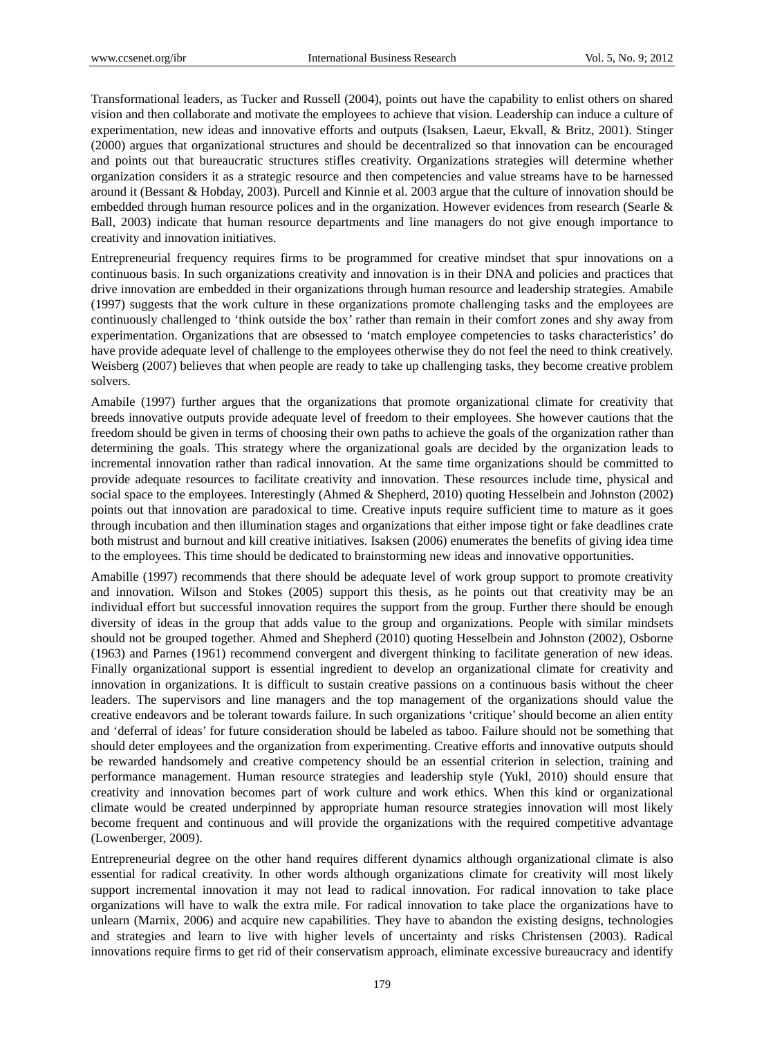Transformational leaders, as Tucker and Russell (2004), points out have the capability to enlist others on shared vision and then collaborate and motivate the employees to achieve that vision. Leadership can induce a culture of experimentation, new ideas and innovative efforts and outputs (Isaksen, Laeur, Ekvall, & Britz, 2001). Stinger (2000) argues that organizational structures and should be decentralized so that innovation can be encouraged and points out that bureaucratic structures stifles creativity. Organizations strategies will determine whether organization considers it as a strategic resource and then competencies and value streams have to be harnessed around it (Bessant & Hobday, 2003). Purcell and Kinnie et al. 2003 argue that the culture of innovation should be embedded through human resource polices and in the organization. However evidences from research (Searle & Ball, 2003) indicate that human resource departments and line managers do not give enough importance to creativity and innovation initiatives.

Entrepreneurial frequency requires firms to be programmed for creative mindset that spur innovations on a continuous basis. In such organizations creativity and innovation is in their DNA and policies and practices that drive innovation are embedded in their organizations through human resource and leadership strategies. Amabile (1997) suggests that the work culture in these organizations promote challenging tasks and the employees are continuously challenged to 'think outside the box' rather than remain in their comfort zones and shy away from experimentation. Organizations that are obsessed to 'match employee competencies to tasks characteristics' do have provide adequate level of challenge to the employees otherwise they do not feel the need to think creatively. Weisberg (2007) believes that when people are ready to take up challenging tasks, they become creative problem solvers.

Amabile (1997) further argues that the organizations that promote organizational climate for creativity that breeds innovative outputs provide adequate level of freedom to their employees. She however cautions that the freedom should be given in terms of choosing their own paths to achieve the goals of the organization rather than determining the goals. This strategy where the organizational goals are decided by the organization leads to incremental innovation rather than radical innovation. At the same time organizations should be committed to provide adequate resources to facilitate creativity and innovation. These resources include time, physical and social space to the employees. Interestingly (Ahmed & Shepherd, 2010) quoting Hesselbein and Johnston (2002) points out that innovation are paradoxical to time. Creative inputs require sufficient time to mature as it goes through incubation and then illumination stages and organizations that either impose tight or fake deadlines crate both mistrust and burnout and kill creative initiatives. Isaksen (2006) enumerates the benefits of giving idea time to the employees. This time should be dedicated to brainstorming new ideas and innovative opportunities.

Amabille (1997) recommends that there should be adequate level of work group support to promote creativity and innovation. Wilson and Stokes (2005) support this thesis, as he points out that creativity may be an individual effort but successful innovation requires the support from the group. Further there should be enough diversity of ideas in the group that adds value to the group and organizations. People with similar mindsets should not be grouped together. Ahmed and Shepherd (2010) quoting Hesselbein and Johnston (2002), Osborne (1963) and Parnes (1961) recommend convergent and divergent thinking to facilitate generation of new ideas. Finally organizational support is essential ingredient to develop an organizational climate for creativity and innovation in organizations. It is difficult to sustain creative passions on a continuous basis without the cheer leaders. The supervisors and line managers and the top management of the organizations should value the creative endeavors and be tolerant towards failure. In such organizations 'critique' should become an alien entity and 'deferral of ideas' for future consideration should be labeled as taboo. Failure should not be something that should deter employees and the organization from experimenting. Creative efforts and innovative outputs should be rewarded handsomely and creative competency should be an essential criterion in selection, training and performance management. Human resource strategies and leadership style (Yukl, 2010) should ensure that creativity and innovation becomes part of work culture and work ethics. When this kind or organizational climate would be created underpinned by appropriate human resource strategies innovation will most likely become frequent and continuous and will provide the organizations with the required competitive advantage (Lowenberger, 2009).

Entrepreneurial degree on the other hand requires different dynamics although organizational climate is also essential for radical creativity. In other words although organizations climate for creativity will most likely support incremental innovation it may not lead to radical innovation. For radical innovation to take place organizations will have to walk the extra mile. For radical innovation to take place the organizations have to unlearn (Marnix, 2006) and acquire new capabilities. They have to abandon the existing designs, technologies and strategies and learn to live with higher levels of uncertainty and risks Christensen (2003). Radical innovations require firms to get rid of their conservatism approach, eliminate excessive bureaucracy and identify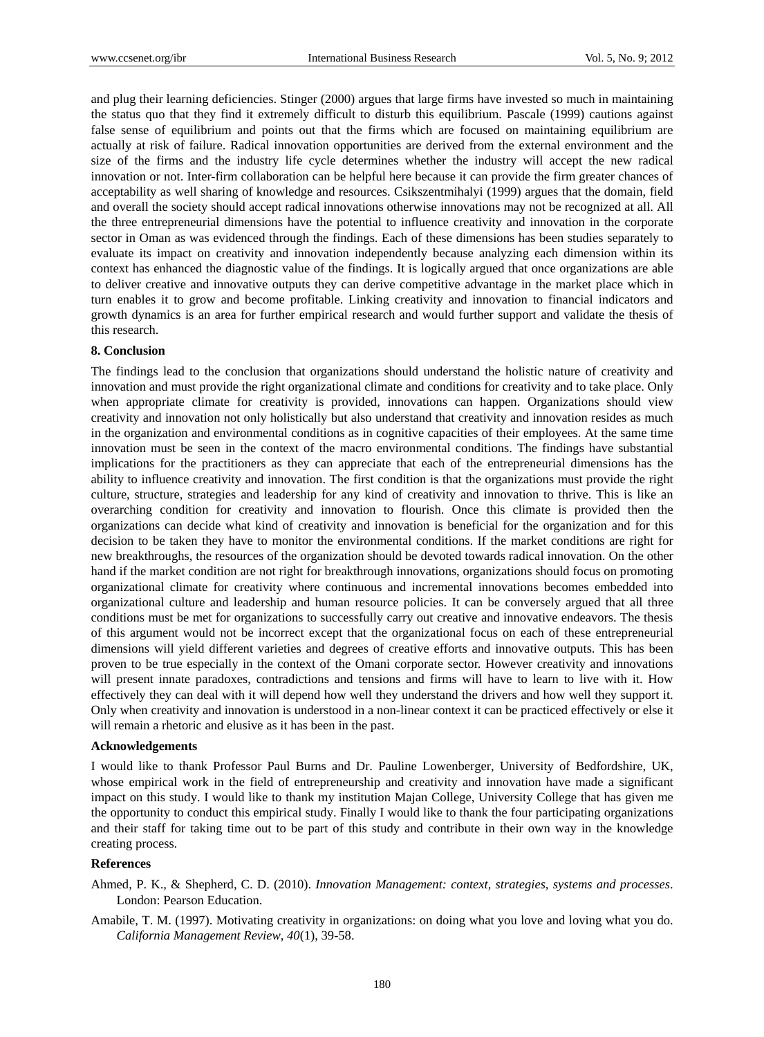and plug their learning deficiencies. Stinger (2000) argues that large firms have invested so much in maintaining the status quo that they find it extremely difficult to disturb this equilibrium. Pascale (1999) cautions against false sense of equilibrium and points out that the firms which are focused on maintaining equilibrium are actually at risk of failure. Radical innovation opportunities are derived from the external environment and the size of the firms and the industry life cycle determines whether the industry will accept the new radical innovation or not. Inter-firm collaboration can be helpful here because it can provide the firm greater chances of acceptability as well sharing of knowledge and resources. Csikszentmihalyi (1999) argues that the domain, field and overall the society should accept radical innovations otherwise innovations may not be recognized at all. All the three entrepreneurial dimensions have the potential to influence creativity and innovation in the corporate sector in Oman as was evidenced through the findings. Each of these dimensions has been studies separately to evaluate its impact on creativity and innovation independently because analyzing each dimension within its context has enhanced the diagnostic value of the findings. It is logically argued that once organizations are able to deliver creative and innovative outputs they can derive competitive advantage in the market place which in turn enables it to grow and become profitable. Linking creativity and innovation to financial indicators and growth dynamics is an area for further empirical research and would further support and validate the thesis of this research.

## **8. Conclusion**

The findings lead to the conclusion that organizations should understand the holistic nature of creativity and innovation and must provide the right organizational climate and conditions for creativity and to take place. Only when appropriate climate for creativity is provided, innovations can happen. Organizations should view creativity and innovation not only holistically but also understand that creativity and innovation resides as much in the organization and environmental conditions as in cognitive capacities of their employees. At the same time innovation must be seen in the context of the macro environmental conditions. The findings have substantial implications for the practitioners as they can appreciate that each of the entrepreneurial dimensions has the ability to influence creativity and innovation. The first condition is that the organizations must provide the right culture, structure, strategies and leadership for any kind of creativity and innovation to thrive. This is like an overarching condition for creativity and innovation to flourish. Once this climate is provided then the organizations can decide what kind of creativity and innovation is beneficial for the organization and for this decision to be taken they have to monitor the environmental conditions. If the market conditions are right for new breakthroughs, the resources of the organization should be devoted towards radical innovation. On the other hand if the market condition are not right for breakthrough innovations, organizations should focus on promoting organizational climate for creativity where continuous and incremental innovations becomes embedded into organizational culture and leadership and human resource policies. It can be conversely argued that all three conditions must be met for organizations to successfully carry out creative and innovative endeavors. The thesis of this argument would not be incorrect except that the organizational focus on each of these entrepreneurial dimensions will yield different varieties and degrees of creative efforts and innovative outputs. This has been proven to be true especially in the context of the Omani corporate sector. However creativity and innovations will present innate paradoxes, contradictions and tensions and firms will have to learn to live with it. How effectively they can deal with it will depend how well they understand the drivers and how well they support it. Only when creativity and innovation is understood in a non-linear context it can be practiced effectively or else it will remain a rhetoric and elusive as it has been in the past.

# **Acknowledgements**

I would like to thank Professor Paul Burns and Dr. Pauline Lowenberger, University of Bedfordshire, UK, whose empirical work in the field of entrepreneurship and creativity and innovation have made a significant impact on this study. I would like to thank my institution Majan College, University College that has given me the opportunity to conduct this empirical study. Finally I would like to thank the four participating organizations and their staff for taking time out to be part of this study and contribute in their own way in the knowledge creating process.

# **References**

- Ahmed, P. K., & Shepherd, C. D. (2010). *Innovation Management: context, strategies, systems and processes*. London: Pearson Education.
- Amabile, T. M. (1997). Motivating creativity in organizations: on doing what you love and loving what you do. *California Management Review*, *40*(1), 39-58.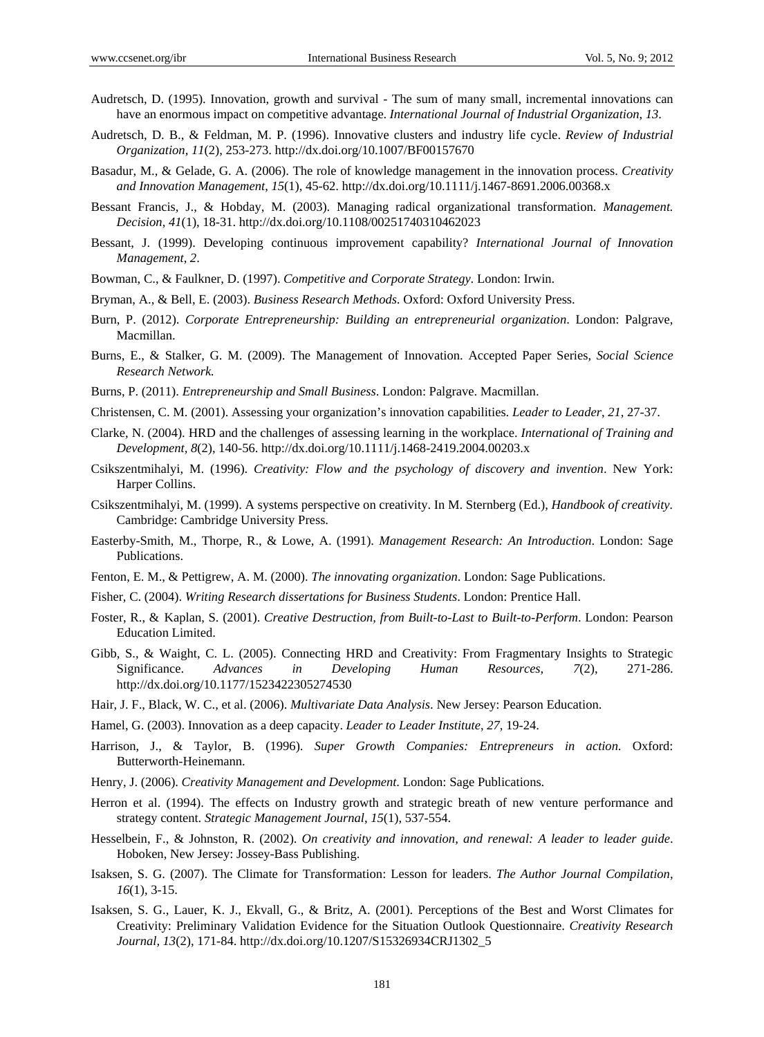- Audretsch, D. (1995). Innovation, growth and survival The sum of many small, incremental innovations can have an enormous impact on competitive advantage. *International Journal of Industrial Organization*, *13*.
- Audretsch, D. B., & Feldman, M. P. (1996). Innovative clusters and industry life cycle. *Review of Industrial Organization*, *11*(2), 253-273. http://dx.doi.org/10.1007/BF00157670
- Basadur, M., & Gelade, G. A. (2006). The role of knowledge management in the innovation process. *Creativity and Innovation Management*, *15*(1), 45-62. http://dx.doi.org/10.1111/j.1467-8691.2006.00368.x
- Bessant Francis, J., & Hobday, M. (2003). Managing radical organizational transformation. *Management. Decision*, *41*(1), 18-31. http://dx.doi.org/10.1108/00251740310462023
- Bessant, J. (1999). Developing continuous improvement capability? *International Journal of Innovation Management*, *2*.
- Bowman, C., & Faulkner, D. (1997). *Competitive and Corporate Strategy*. London: Irwin.
- Bryman, A., & Bell, E. (2003). *Business Research Methods*. Oxford: Oxford University Press.
- Burn, P. (2012). *Corporate Entrepreneurship: Building an entrepreneurial organization*. London: Palgrave, Macmillan.
- Burns, E., & Stalker, G. M. (2009). The Management of Innovation. Accepted Paper Series, *Social Science Research Network.*
- Burns, P. (2011). *Entrepreneurship and Small Business*. London: Palgrave. Macmillan.
- Christensen, C. M. (2001). Assessing your organization's innovation capabilities. *Leader to Leader*, *21*, 27-37.
- Clarke, N. (2004). HRD and the challenges of assessing learning in the workplace. *International of Training and Development, 8*(2), 140-56. http://dx.doi.org/10.1111/j.1468-2419.2004.00203.x
- Csikszentmihalyi, M. (1996). *Creativity: Flow and the psychology of discovery and invention*. New York: Harper Collins.
- Csikszentmihalyi, M. (1999). A systems perspective on creativity. In M. Sternberg (Ed.), *Handbook of creativity.* Cambridge: Cambridge University Press.
- Easterby-Smith, M., Thorpe, R., & Lowe, A. (1991). *Management Research: An Introduction*. London: Sage Publications.
- Fenton, E. M., & Pettigrew, A. M. (2000). *The innovating organization*. London: Sage Publications.
- Fisher, C. (2004). *Writing Research dissertations for Business Students*. London: Prentice Hall.
- Foster, R., & Kaplan, S. (2001). *Creative Destruction, from Built-to-Last to Built-to-Perform*. London: Pearson Education Limited.
- Gibb, S., & Waight, C. L. (2005). Connecting HRD and Creativity: From Fragmentary Insights to Strategic Significance. *Advances in Developing Human Resources, 7*(2), 271-286. http://dx.doi.org/10.1177/1523422305274530
- Hair, J. F., Black, W. C., et al. (2006). *Multivariate Data Analysis*. New Jersey: Pearson Education.
- Hamel, G. (2003). Innovation as a deep capacity. *Leader to Leader Institute*, *27*, 19-24.
- Harrison, J., & Taylor, B. (1996). *Super Growth Companies: Entrepreneurs in action*. Oxford: Butterworth-Heinemann.
- Henry, J. (2006). *Creativity Management and Development*. London: Sage Publications.
- Herron et al. (1994). The effects on Industry growth and strategic breath of new venture performance and strategy content. *Strategic Management Journal*, *15*(1), 537-554.
- Hesselbein, F., & Johnston, R. (2002). *On creativity and innovation, and renewal: A leader to leader guide*. Hoboken, New Jersey: Jossey-Bass Publishing.
- Isaksen, S. G. (2007). The Climate for Transformation: Lesson for leaders. *The Author Journal Compilation*, *16*(1), 3-15.
- Isaksen, S. G., Lauer, K. J., Ekvall, G., & Britz, A. (2001). Perceptions of the Best and Worst Climates for Creativity: Preliminary Validation Evidence for the Situation Outlook Questionnaire. *Creativity Research Journal, 13*(2), 171-84. http://dx.doi.org/10.1207/S15326934CRJ1302\_5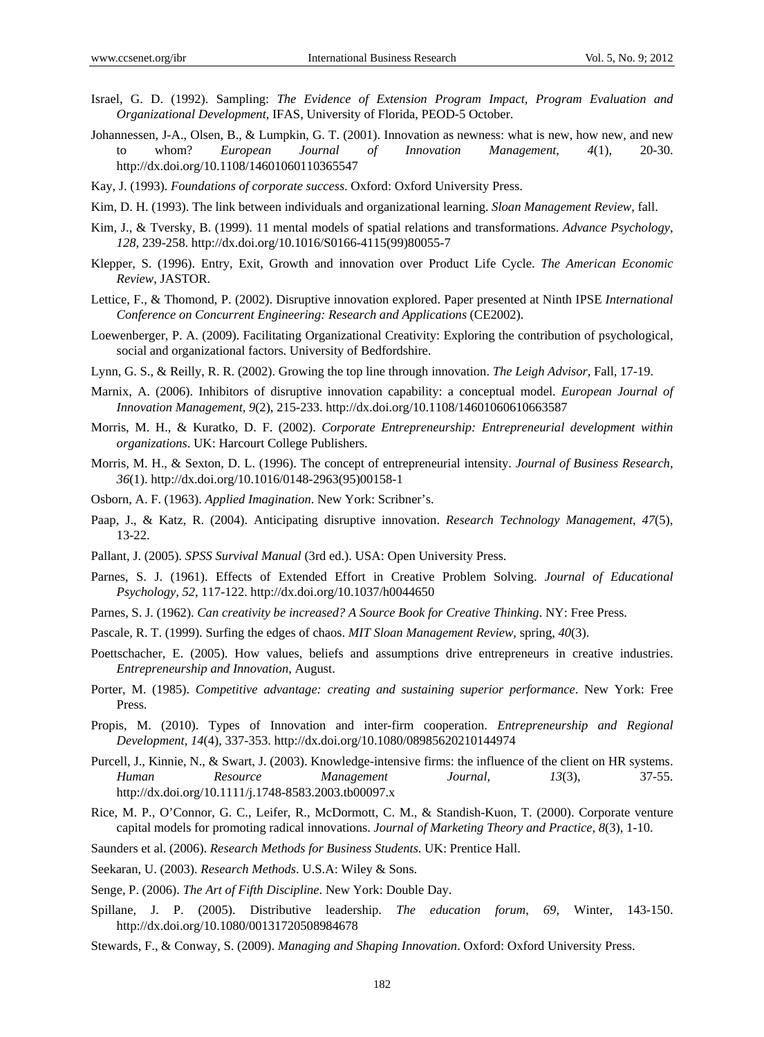- Israel, G. D. (1992). Sampling: *The Evidence of Extension Program Impact, Program Evaluation and Organizational Development,* IFAS, University of Florida, PEOD-5 October.
- Johannessen, J-A., Olsen, B., & Lumpkin, G. T. (2001). Innovation as newness: what is new, how new, and new to whom? *European Journal of Innovation Management*, *4*(1), 20-30. http://dx.doi.org/10.1108/14601060110365547
- Kay, J. (1993). *Foundations of corporate success*. Oxford: Oxford University Press.
- Kim, D. H. (1993). The link between individuals and organizational learning. *Sloan Management Review*, fall.
- Kim, J., & Tversky, B. (1999). 11 mental models of spatial relations and transformations. *Advance Psychology*, *128*, 239-258. http://dx.doi.org/10.1016/S0166-4115(99)80055-7
- Klepper, S. (1996). Entry, Exit, Growth and innovation over Product Life Cycle. *The American Economic Review*, JASTOR.
- Lettice, F., & Thomond, P. (2002). Disruptive innovation explored. Paper presented at Ninth IPSE *International Conference on Concurrent Engineering: Research and Applications* (CE2002).
- Loewenberger, P. A. (2009). Facilitating Organizational Creativity: Exploring the contribution of psychological, social and organizational factors. University of Bedfordshire.
- Lynn, G. S., & Reilly, R. R. (2002). Growing the top line through innovation. *The Leigh Advisor*, Fall, 17-19.
- Marnix, A. (2006). Inhibitors of disruptive innovation capability: a conceptual model. *European Journal of Innovation Management*, *9*(2), 215-233. http://dx.doi.org/10.1108/14601060610663587
- Morris, M. H., & Kuratko, D. F. (2002). *Corporate Entrepreneurship: Entrepreneurial development within organizations*. UK: Harcourt College Publishers.
- Morris, M. H., & Sexton, D. L. (1996). The concept of entrepreneurial intensity. *Journal of Business Research*, *36*(1). http://dx.doi.org/10.1016/0148-2963(95)00158-1
- Osborn, A. F. (1963). *Applied Imagination*. New York: Scribner's.
- Paap, J., & Katz, R. (2004). Anticipating disruptive innovation. *Research Technology Management*, *47*(5), 13-22.
- Pallant, J. (2005). *SPSS Survival Manual* (3rd ed.). USA: Open University Press.
- Parnes, S. J. (1961). Effects of Extended Effort in Creative Problem Solving. *Journal of Educational Psychology, 52*, 117-122. http://dx.doi.org/10.1037/h0044650
- Parnes, S. J. (1962). *Can creativity be increased? A Source Book for Creative Thinking*. NY: Free Press.
- Pascale, R. T. (1999). Surfing the edges of chaos. *MIT Sloan Management Review*, spring, *40*(3).
- Poettschacher, E. (2005). How values, beliefs and assumptions drive entrepreneurs in creative industries. *Entrepreneurship and Innovation*, August.
- Porter, M. (1985). *Competitive advantage: creating and sustaining superior performance*. New York: Free Press.
- Propis, M. (2010). Types of Innovation and inter-firm cooperation. *Entrepreneurship and Regional Development*, *14*(4), 337-353. http://dx.doi.org/10.1080/08985620210144974
- Purcell, J., Kinnie, N., & Swart, J. (2003). Knowledge-intensive firms: the influence of the client on HR systems. *Human Resource Management Journal*, *13*(3), 37-55. http://dx.doi.org/10.1111/j.1748-8583.2003.tb00097.x
- Rice, M. P., O'Connor, G. C., Leifer, R., McDormott, C. M., & Standish-Kuon, T. (2000). Corporate venture capital models for promoting radical innovations. *Journal of Marketing Theory and Practice*, *8*(3), 1-10.
- Saunders et al. (2006). *Research Methods for Business Students*. UK: Prentice Hall.
- Seekaran, U. (2003). *Research Methods*. U.S.A: Wiley & Sons.
- Senge, P. (2006). *The Art of Fifth Discipline*. New York: Double Day.
- Spillane, J. P. (2005). Distributive leadership. *The education forum*, *69,* Winter, 143-150. http://dx.doi.org/10.1080/00131720508984678
- Stewards, F., & Conway, S. (2009). *Managing and Shaping Innovation*. Oxford: Oxford University Press.